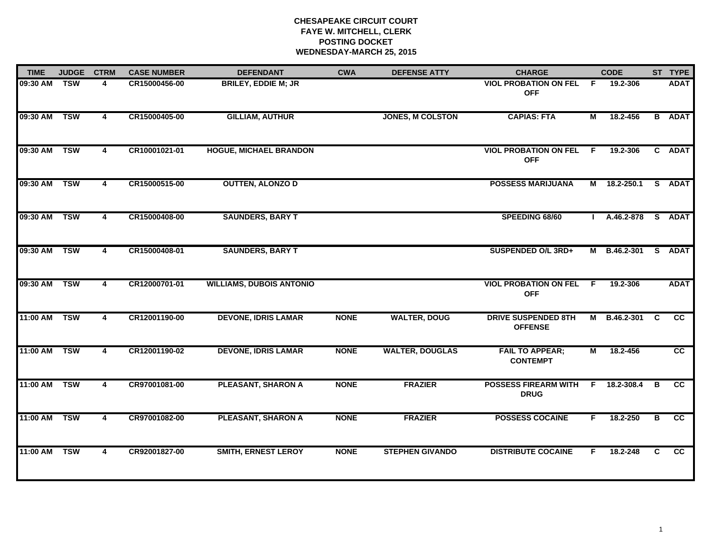# **CHESAPEAKE CIRCUIT COURT FAYE W. MITCHELL, CLERK POSTING DOCKET WEDNESDAY-MARCH 25, 2015**

| 09:30 AM<br>09:30 AM TSW | <b>TSW</b> | 4<br>4 | CR15000456-00<br>CR15000405-00 | <b>BRILEY, EDDIE M; JR</b><br><b>GILLIAM, AUTHUR</b> |             |                         | <b>VIOL PROBATION ON FEL</b><br><b>OFF</b>   | E            | 19.2-306     |    | <b>ADAT</b>     |
|--------------------------|------------|--------|--------------------------------|------------------------------------------------------|-------------|-------------------------|----------------------------------------------|--------------|--------------|----|-----------------|
|                          |            |        |                                |                                                      |             |                         |                                              |              |              |    |                 |
|                          |            |        |                                |                                                      |             | <b>JONES, M COLSTON</b> | <b>CAPIAS: FTA</b>                           | М            | 18.2-456     |    | <b>B</b> ADAT   |
| 09:30 AM TSW             |            | 4      | CR10001021-01                  | <b>HOGUE, MICHAEL BRANDON</b>                        |             |                         | <b>VIOL PROBATION ON FEL</b><br><b>OFF</b>   | - F          | 19.2-306     |    | C ADAT          |
| 09:30 AM TSW             |            | 4      | CR15000515-00                  | <b>OUTTEN, ALONZO D</b>                              |             |                         | <b>POSSESS MARIJUANA</b>                     |              | M 18.2-250.1 |    | S ADAT          |
| 09:30 AM                 | <b>TSW</b> | 4      | CR15000408-00                  | <b>SAUNDERS, BARY T</b>                              |             |                         | SPEEDING 68/60                               | $\mathbf{I}$ | A.46.2-878   | S  | <b>ADAT</b>     |
| 09:30 AM                 | <b>TSW</b> | 4      | CR15000408-01                  | <b>SAUNDERS, BARY T</b>                              |             |                         | SUSPENDED O/L 3RD+                           |              | M B.46.2-301 |    | S ADAT          |
| 09:30 AM                 | <b>TSW</b> | 4      | CR12000701-01                  | <b>WILLIAMS, DUBOIS ANTONIO</b>                      |             |                         | <b>VIOL PROBATION ON FEL</b><br><b>OFF</b>   | F.           | 19.2-306     |    | <b>ADAT</b>     |
| 11:00 AM                 | <b>TSW</b> | 4      | CR12001190-00                  | <b>DEVONE, IDRIS LAMAR</b>                           | <b>NONE</b> | <b>WALTER, DOUG</b>     | <b>DRIVE SUSPENDED 8TH</b><br><b>OFFENSE</b> |              | M B.46.2-301 | C  | <b>CC</b>       |
| 11:00 AM                 | <b>TSW</b> | 4      | CR12001190-02                  | <b>DEVONE, IDRIS LAMAR</b>                           | <b>NONE</b> | <b>WALTER, DOUGLAS</b>  | <b>FAIL TO APPEAR;</b><br><b>CONTEMPT</b>    | М            | 18.2-456     |    | <b>CC</b>       |
| 11:00 AM                 | <b>TSW</b> | 4      | CR97001081-00                  | <b>PLEASANT, SHARON A</b>                            | <b>NONE</b> | <b>FRAZIER</b>          | <b>POSSESS FIREARM WITH</b><br><b>DRUG</b>   | F            | 18.2-308.4   | B  | <b>CC</b>       |
| 11:00 AM                 | <b>TSW</b> | 4      | CR97001082-00                  | <b>PLEASANT, SHARON A</b>                            | <b>NONE</b> | <b>FRAZIER</b>          | <b>POSSESS COCAINE</b>                       | F.           | 18.2-250     | в  | $\overline{cc}$ |
| 11:00 AM                 | <b>TSW</b> | 4      | CR92001827-00                  | <b>SMITH, ERNEST LEROY</b>                           | <b>NONE</b> | <b>STEPHEN GIVANDO</b>  | <b>DISTRIBUTE COCAINE</b>                    | F.           | 18.2-248     | C. | CC.             |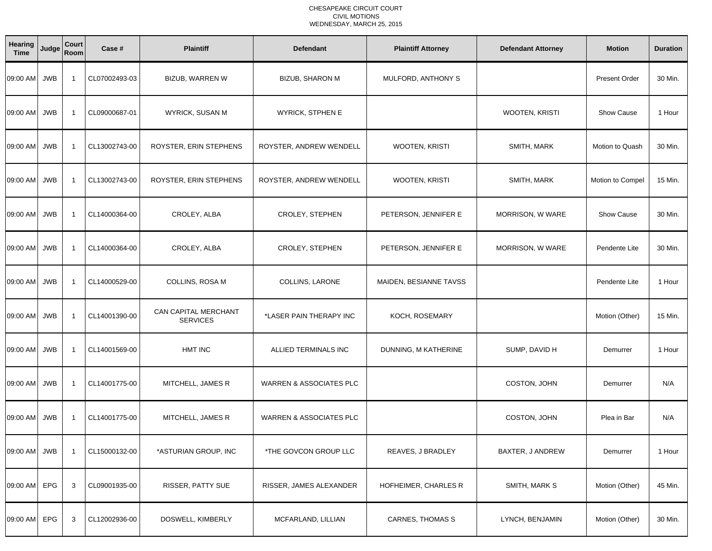| Hearing<br><b>Time</b> | Judge      | Court<br>Room  | Case #        | <b>Plaintiff</b>                        | <b>Defendant</b>                   | <b>Plaintiff Attorney</b> | <b>Defendant Attorney</b> | <b>Motion</b>        | <b>Duration</b> |
|------------------------|------------|----------------|---------------|-----------------------------------------|------------------------------------|---------------------------|---------------------------|----------------------|-----------------|
| 09:00 AM               | <b>JWB</b> | $\overline{1}$ | CL07002493-03 | <b>BIZUB, WARREN W</b>                  | <b>BIZUB, SHARON M</b>             | MULFORD, ANTHONY S        |                           | <b>Present Order</b> | 30 Min.         |
| 09:00 AM               | <b>JWB</b> | $\overline{1}$ | CL09000687-01 | WYRICK, SUSAN M                         | <b>WYRICK, STPHEN E</b>            |                           | <b>WOOTEN, KRISTI</b>     | <b>Show Cause</b>    | 1 Hour          |
| 09:00 AM               | <b>JWB</b> | $\overline{1}$ | CL13002743-00 | ROYSTER, ERIN STEPHENS                  | ROYSTER, ANDREW WENDELL            | WOOTEN, KRISTI            | SMITH, MARK               | Motion to Quash      | 30 Min.         |
| 09:00 AM               | <b>JWB</b> | $\overline{1}$ | CL13002743-00 | ROYSTER, ERIN STEPHENS                  | ROYSTER, ANDREW WENDELL            | WOOTEN, KRISTI            | SMITH, MARK               | Motion to Compel     | 15 Min.         |
| 09:00 AM               | <b>JWB</b> | $\overline{1}$ | CL14000364-00 | CROLEY, ALBA                            | CROLEY, STEPHEN                    | PETERSON, JENNIFER E      | MORRISON, W WARE          | Show Cause           | 30 Min.         |
| 09:00 AM               | <b>JWB</b> | $\overline{1}$ | CL14000364-00 | CROLEY, ALBA                            | CROLEY, STEPHEN                    | PETERSON, JENNIFER E      | MORRISON, W WARE          | Pendente Lite        | 30 Min.         |
| 09:00 AM               | <b>JWB</b> | $\overline{1}$ | CL14000529-00 | COLLINS, ROSA M                         | COLLINS, LARONE                    | MAIDEN, BESIANNE TAVSS    |                           | Pendente Lite        | 1 Hour          |
| 09:00 AM               | <b>JWB</b> | $\overline{1}$ | CL14001390-00 | CAN CAPITAL MERCHANT<br><b>SERVICES</b> | *LASER PAIN THERAPY INC            | KOCH, ROSEMARY            |                           | Motion (Other)       | 15 Min.         |
| 09:00 AM               | <b>JWB</b> | $\overline{1}$ | CL14001569-00 | <b>HMT INC</b>                          | ALLIED TERMINALS INC               | DUNNING, M KATHERINE      | SUMP, DAVID H             | Demurrer             | 1 Hour          |
| 09:00 AM               | <b>JWB</b> | $\overline{1}$ | CL14001775-00 | MITCHELL, JAMES R                       | <b>WARREN &amp; ASSOCIATES PLC</b> |                           | COSTON, JOHN              | Demurrer             | N/A             |
| 09:00 AM               | <b>JWB</b> | $\overline{1}$ | CL14001775-00 | MITCHELL, JAMES R                       | <b>WARREN &amp; ASSOCIATES PLC</b> |                           | COSTON, JOHN              | Plea in Bar          | N/A             |
| 09:00 AM JWB           |            | $\overline{1}$ | CL15000132-00 | *ASTURIAN GROUP, INC                    | *THE GOVCON GROUP LLC              | REAVES, J BRADLEY         | BAXTER, J ANDREW          | Demurrer             | 1 Hour          |
| 09:00 AM               | EPG        | 3              | CL09001935-00 | RISSER, PATTY SUE                       | RISSER, JAMES ALEXANDER            | HOFHEIMER, CHARLES R      | SMITH, MARK S             | Motion (Other)       | 45 Min.         |
| 09:00 AM               | EPG        | 3              | CL12002936-00 | DOSWELL, KIMBERLY                       | MCFARLAND, LILLIAN                 | <b>CARNES, THOMAS S</b>   | LYNCH, BENJAMIN           | Motion (Other)       | 30 Min.         |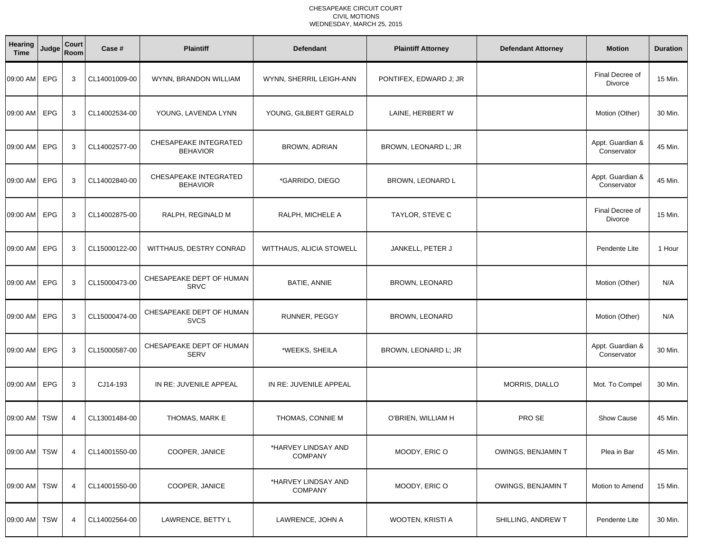| Hearing<br><b>Time</b> | Judge      | Court<br>Room  | Case #        | <b>Plaintiff</b>                                | <b>Defendant</b>                      | <b>Plaintiff Attorney</b> | <b>Defendant Attorney</b> | <b>Motion</b>                     | <b>Duration</b> |
|------------------------|------------|----------------|---------------|-------------------------------------------------|---------------------------------------|---------------------------|---------------------------|-----------------------------------|-----------------|
| 09:00 AM               | <b>EPG</b> | 3              | CL14001009-00 | WYNN, BRANDON WILLIAM                           | WYNN, SHERRIL LEIGH-ANN               | PONTIFEX, EDWARD J; JR    |                           | Final Decree of<br><b>Divorce</b> | 15 Min.         |
| 09:00 AM               | <b>EPG</b> | 3              | CL14002534-00 | YOUNG, LAVENDA LYNN                             | YOUNG, GILBERT GERALD                 | LAINE, HERBERT W          |                           | Motion (Other)                    | 30 Min.         |
| 09:00 AM               | EPG        | 3              | CL14002577-00 | CHESAPEAKE INTEGRATED<br><b>BEHAVIOR</b>        | <b>BROWN, ADRIAN</b>                  | BROWN, LEONARD L; JR      |                           | Appt. Guardian &<br>Conservator   | 45 Min.         |
| 09:00 AM               | EPG        | 3              | CL14002840-00 | <b>CHESAPEAKE INTEGRATED</b><br><b>BEHAVIOR</b> | *GARRIDO, DIEGO                       | BROWN, LEONARD L          |                           | Appt. Guardian &<br>Conservator   | 45 Min.         |
| 09:00 AM               | EPG        | 3              | CL14002875-00 | RALPH, REGINALD M                               | RALPH, MICHELE A                      | TAYLOR, STEVE C           |                           | Final Decree of<br>Divorce        | 15 Min.         |
| 09:00 AM               | EPG        | 3              | CL15000122-00 | WITTHAUS, DESTRY CONRAD                         | <b>WITTHAUS, ALICIA STOWELL</b>       | JANKELL, PETER J          |                           | Pendente Lite                     | 1 Hour          |
| 09:00 AM               | EPG        | 3              | CL15000473-00 | CHESAPEAKE DEPT OF HUMAN<br><b>SRVC</b>         | <b>BATIE, ANNIE</b>                   | <b>BROWN, LEONARD</b>     |                           | Motion (Other)                    | N/A             |
| 09:00 AM               | EPG        | 3              | CL15000474-00 | CHESAPEAKE DEPT OF HUMAN<br><b>SVCS</b>         | RUNNER, PEGGY                         | <b>BROWN, LEONARD</b>     |                           | Motion (Other)                    | N/A             |
| 09:00 AM               | <b>EPG</b> | 3              | CL15000587-00 | CHESAPEAKE DEPT OF HUMAN<br><b>SERV</b>         | *WEEKS, SHEILA                        | BROWN, LEONARD L; JR      |                           | Appt. Guardian &<br>Conservator   | 30 Min.         |
| 09:00 AM               | EPG        | 3              | CJ14-193      | IN RE: JUVENILE APPEAL                          | IN RE: JUVENILE APPEAL                |                           | MORRIS, DIALLO            | Mot. To Compel                    | 30 Min.         |
| 09:00 AM               | <b>TSW</b> | $\overline{4}$ | CL13001484-00 | THOMAS, MARK E                                  | THOMAS, CONNIE M                      | O'BRIEN, WILLIAM H        | PRO SE                    | <b>Show Cause</b>                 | 45 Min.         |
| 09:00 AM TSW           |            | 4              | CL14001550-00 | COOPER, JANICE                                  | *HARVEY LINDSAY AND<br><b>COMPANY</b> | MOODY, ERIC O             | OWINGS, BENJAMIN T        | Plea in Bar                       | 45 Min.         |
| 09:00 AM               | <b>TSW</b> | 4              | CL14001550-00 | COOPER, JANICE                                  | *HARVEY LINDSAY AND<br><b>COMPANY</b> | MOODY, ERIC O             | OWINGS, BENJAMIN T        | Motion to Amend                   | 15 Min.         |
| 09:00 AM               | <b>TSW</b> | 4              | CL14002564-00 | LAWRENCE, BETTY L                               | LAWRENCE, JOHN A                      | WOOTEN, KRISTI A          | SHILLING, ANDREW T        | Pendente Lite                     | 30 Min.         |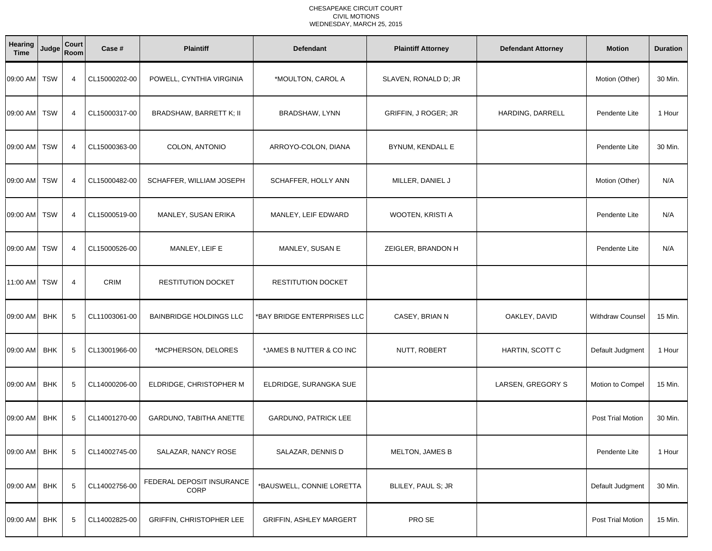| Hearing<br><b>Time</b> | Judge      | Court<br>Room  | Case #        | <b>Plaintiff</b>                  | <b>Defendant</b>               | <b>Plaintiff Attorney</b> | <b>Defendant Attorney</b> | <b>Motion</b>           | <b>Duration</b> |
|------------------------|------------|----------------|---------------|-----------------------------------|--------------------------------|---------------------------|---------------------------|-------------------------|-----------------|
| 09:00 AM TSW           |            | $\overline{4}$ | CL15000202-00 | POWELL, CYNTHIA VIRGINIA          | *MOULTON, CAROL A              | SLAVEN, RONALD D; JR      |                           | Motion (Other)          | 30 Min.         |
| 09:00 AM               | TSW        | $\overline{4}$ | CL15000317-00 | BRADSHAW, BARRETT K; II           | BRADSHAW, LYNN                 | GRIFFIN, J ROGER; JR      | HARDING, DARRELL          | Pendente Lite           | 1 Hour          |
| 09:00 AM               | <b>TSW</b> | 4              | CL15000363-00 | COLON, ANTONIO                    | ARROYO-COLON, DIANA            | BYNUM, KENDALL E          |                           | Pendente Lite           | 30 Min.         |
| 09:00 AM               | <b>TSW</b> | $\overline{4}$ | CL15000482-00 | SCHAFFER, WILLIAM JOSEPH          | SCHAFFER, HOLLY ANN            | MILLER, DANIEL J          |                           | Motion (Other)          | N/A             |
| 09:00 AM               | <b>TSW</b> | 4              | CL15000519-00 | MANLEY, SUSAN ERIKA               | MANLEY, LEIF EDWARD            | WOOTEN, KRISTI A          |                           | Pendente Lite           | N/A             |
| 09:00 AM               | <b>TSW</b> | $\overline{4}$ | CL15000526-00 | MANLEY, LEIF E                    | MANLEY, SUSAN E                | ZEIGLER, BRANDON H        |                           | Pendente Lite           | N/A             |
| 11:00 AM               | TSW        | 4              | <b>CRIM</b>   | RESTITUTION DOCKET                | <b>RESTITUTION DOCKET</b>      |                           |                           |                         |                 |
| 09:00 AM               | <b>BHK</b> | 5              | CL11003061-00 | <b>BAINBRIDGE HOLDINGS LLC</b>    | *BAY BRIDGE ENTERPRISES LLC    | CASEY, BRIAN N            | OAKLEY, DAVID             | <b>Withdraw Counsel</b> | 15 Min.         |
| 09:00 AM               | <b>BHK</b> | 5              | CL13001966-00 | *MCPHERSON, DELORES               | *JAMES B NUTTER & CO INC       | NUTT, ROBERT              | HARTIN, SCOTT C           | Default Judgment        | 1 Hour          |
| 09:00 AM               | <b>BHK</b> | 5              | CL14000206-00 | ELDRIDGE, CHRISTOPHER M           | ELDRIDGE, SURANGKA SUE         |                           | LARSEN, GREGORY S         | Motion to Compel        | 15 Min.         |
| 09:00 AM               | <b>BHK</b> | 5              | CL14001270-00 | GARDUNO, TABITHA ANETTE           | GARDUNO, PATRICK LEE           |                           |                           | Post Trial Motion       | 30 Min.         |
| 09:00 AM               | <b>BHK</b> | 5              | CL14002745-00 | SALAZAR, NANCY ROSE               | SALAZAR, DENNIS D              | MELTON, JAMES B           |                           | Pendente Lite           | 1 Hour          |
| 09:00 AM               | <b>BHK</b> | 5              | CL14002756-00 | FEDERAL DEPOSIT INSURANCE<br>CORP | *BAUSWELL, CONNIE LORETTA      | BLILEY, PAUL S; JR        |                           | Default Judgment        | 30 Min.         |
| 09:00 AM               | <b>BHK</b> | 5              | CL14002825-00 | <b>GRIFFIN, CHRISTOPHER LEE</b>   | <b>GRIFFIN, ASHLEY MARGERT</b> | PRO SE                    |                           | Post Trial Motion       | 15 Min.         |